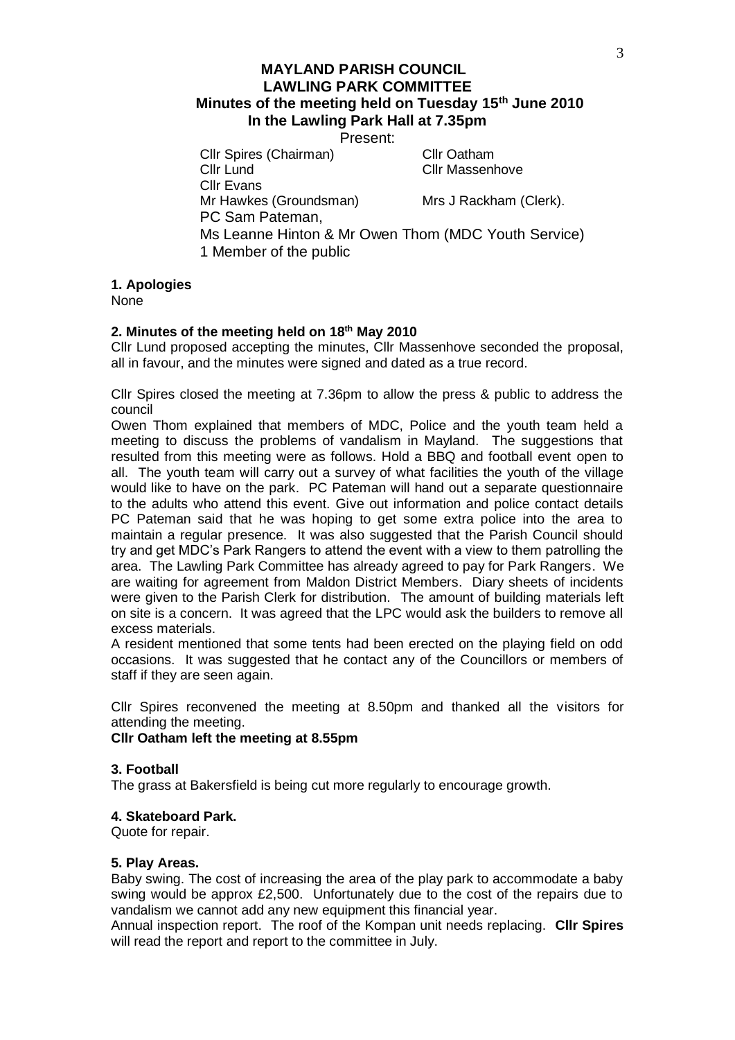Present:

Cllr Spires (Chairman) Cllr Oatham<br>Cllr Lund Cllr Massenh Cllr Massenhove

Cllr Evans Mr Hawkes (Groundsman) Mrs J Rackham (Clerk). PC Sam Pateman, Ms Leanne Hinton & Mr Owen Thom (MDC Youth Service) 1 Member of the public

**1. Apologies**

None

# **2. Minutes of the meeting held on 18th May 2010**

Cllr Lund proposed accepting the minutes, Cllr Massenhove seconded the proposal, all in favour, and the minutes were signed and dated as a true record.

Cllr Spires closed the meeting at 7.36pm to allow the press & public to address the council

Owen Thom explained that members of MDC, Police and the youth team held a meeting to discuss the problems of vandalism in Mayland. The suggestions that resulted from this meeting were as follows. Hold a BBQ and football event open to all. The youth team will carry out a survey of what facilities the youth of the village would like to have on the park. PC Pateman will hand out a separate questionnaire to the adults who attend this event. Give out information and police contact details PC Pateman said that he was hoping to get some extra police into the area to maintain a regular presence. It was also suggested that the Parish Council should try and get MDC's Park Rangers to attend the event with a view to them patrolling the area. The Lawling Park Committee has already agreed to pay for Park Rangers. We are waiting for agreement from Maldon District Members. Diary sheets of incidents were given to the Parish Clerk for distribution. The amount of building materials left on site is a concern. It was agreed that the LPC would ask the builders to remove all excess materials.

A resident mentioned that some tents had been erected on the playing field on odd occasions. It was suggested that he contact any of the Councillors or members of staff if they are seen again.

Cllr Spires reconvened the meeting at 8.50pm and thanked all the visitors for attending the meeting.

**Cllr Oatham left the meeting at 8.55pm**

#### **3. Football**

The grass at Bakersfield is being cut more regularly to encourage growth.

#### **4. Skateboard Park.**

Quote for repair.

#### **5. Play Areas.**

Baby swing. The cost of increasing the area of the play park to accommodate a baby swing would be approx £2,500. Unfortunately due to the cost of the repairs due to vandalism we cannot add any new equipment this financial year.

Annual inspection report. The roof of the Kompan unit needs replacing. **Cllr Spires** will read the report and report to the committee in July.